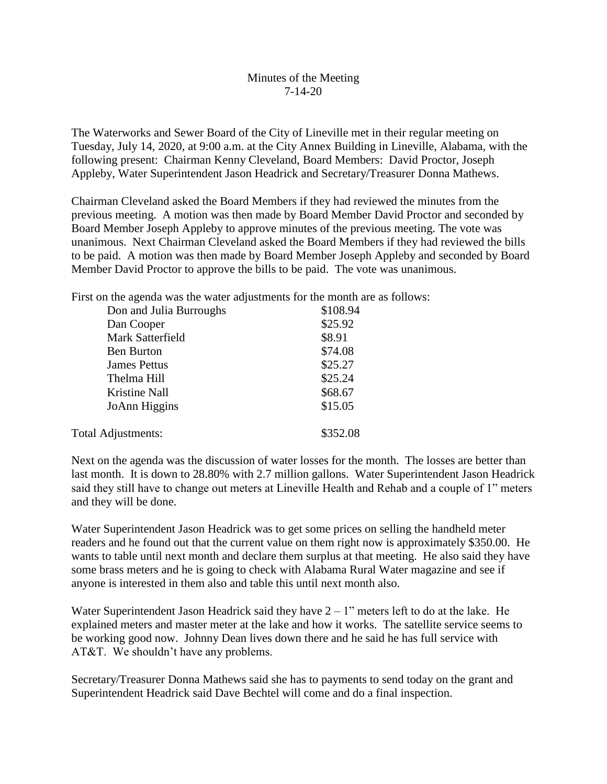## Minutes of the Meeting 7-14-20

The Waterworks and Sewer Board of the City of Lineville met in their regular meeting on Tuesday, July 14, 2020, at 9:00 a.m. at the City Annex Building in Lineville, Alabama, with the following present: Chairman Kenny Cleveland, Board Members: David Proctor, Joseph Appleby, Water Superintendent Jason Headrick and Secretary/Treasurer Donna Mathews.

Chairman Cleveland asked the Board Members if they had reviewed the minutes from the previous meeting. A motion was then made by Board Member David Proctor and seconded by Board Member Joseph Appleby to approve minutes of the previous meeting. The vote was unanimous. Next Chairman Cleveland asked the Board Members if they had reviewed the bills to be paid. A motion was then made by Board Member Joseph Appleby and seconded by Board Member David Proctor to approve the bills to be paid. The vote was unanimous.

First on the agenda was the water adjustments for the month are as follows:

| Don and Julia Burroughs | \$108.94 |
|-------------------------|----------|
| Dan Cooper              | \$25.92  |
| Mark Satterfield        | \$8.91   |
| <b>Ben Burton</b>       | \$74.08  |
| <b>James Pettus</b>     | \$25.27  |
| Thelma Hill             | \$25.24  |
| Kristine Nall           | \$68.67  |
| JoAnn Higgins           | \$15.05  |
| Total Adjustments:      | \$352.08 |

Next on the agenda was the discussion of water losses for the month. The losses are better than last month. It is down to 28.80% with 2.7 million gallons. Water Superintendent Jason Headrick said they still have to change out meters at Lineville Health and Rehab and a couple of 1" meters and they will be done.

Water Superintendent Jason Headrick was to get some prices on selling the handheld meter readers and he found out that the current value on them right now is approximately \$350.00. He wants to table until next month and declare them surplus at that meeting. He also said they have some brass meters and he is going to check with Alabama Rural Water magazine and see if anyone is interested in them also and table this until next month also.

Water Superintendent Jason Headrick said they have  $2 - 1$ " meters left to do at the lake. He explained meters and master meter at the lake and how it works. The satellite service seems to be working good now. Johnny Dean lives down there and he said he has full service with AT&T. We shouldn't have any problems.

Secretary/Treasurer Donna Mathews said she has to payments to send today on the grant and Superintendent Headrick said Dave Bechtel will come and do a final inspection.